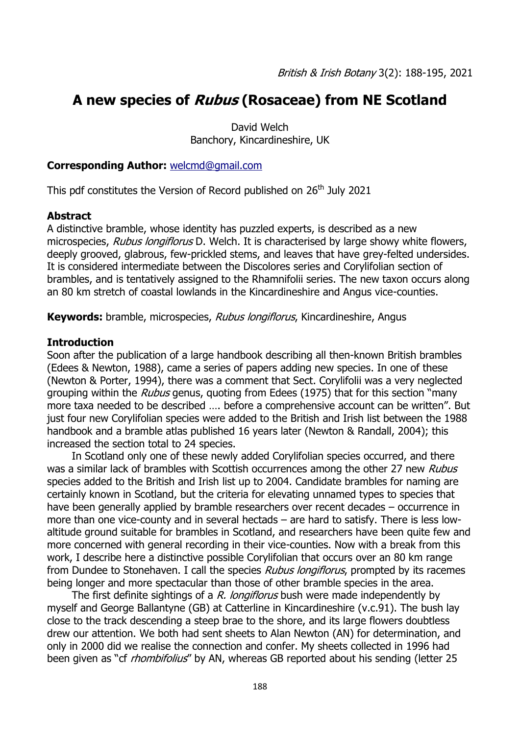# **A new species of Rubus (Rosaceae) from NE Scotland**

David Welch Banchory, Kincardineshire, UK

#### **Corresponding Author:** [welcmd@gmail.com](file:///C:/Users/Louise%20Marsh/Documents/BSBI/BSBI%20WORKLOGS/BSBI%20LOG%202018/B&IB/B&IB3/3.2/welcmd@gmail.com)

This pdf constitutes the Version of Record published on 26<sup>th</sup> July 2021

#### **Abstract**

A distinctive bramble, whose identity has puzzled experts, is described as a new microspecies, Rubus longiflorus D. Welch. It is characterised by large showy white flowers, deeply grooved, glabrous, few-prickled stems, and leaves that have grey-felted undersides. It is considered intermediate between the Discolores series and Corylifolian section of brambles, and is tentatively assigned to the Rhamnifolii series. The new taxon occurs along an 80 km stretch of coastal lowlands in the Kincardineshire and Angus vice-counties.

**Keywords:** bramble, microspecies, Rubus longiflorus, Kincardineshire, Angus

### **Introduction**

Soon after the publication of a large handbook describing all then-known British brambles (Edees & Newton, 1988), came a series of papers adding new species. In one of these (Newton & Porter, 1994), there was a comment that Sect. Corylifolii was a very neglected grouping within the *Rubus* genus, quoting from Edees (1975) that for this section "many more taxa needed to be described …. before a comprehensive account can be written". But just four new Corylifolian species were added to the British and Irish list between the 1988 handbook and a bramble atlas published 16 years later (Newton & Randall, 2004); this increased the section total to 24 species.

In Scotland only one of these newly added Corylifolian species occurred, and there was a similar lack of brambles with Scottish occurrences among the other 27 new Rubus species added to the British and Irish list up to 2004. Candidate brambles for naming are certainly known in Scotland, but the criteria for elevating unnamed types to species that have been generally applied by bramble researchers over recent decades – occurrence in more than one vice-county and in several hectads – are hard to satisfy. There is less lowaltitude ground suitable for brambles in Scotland, and researchers have been quite few and more concerned with general recording in their vice-counties. Now with a break from this work, I describe here a distinctive possible Corylifolian that occurs over an 80 km range from Dundee to Stonehaven. I call the species *Rubus longiflorus*, prompted by its racemes being longer and more spectacular than those of other bramble species in the area.

The first definite sightings of a R. longiflorus bush were made independently by myself and George Ballantyne (GB) at Catterline in Kincardineshire (v.c.91). The bush lay close to the track descending a steep brae to the shore, and its large flowers doubtless drew our attention. We both had sent sheets to Alan Newton (AN) for determination, and only in 2000 did we realise the connection and confer. My sheets collected in 1996 had been given as "cf *rhombifolius*" by AN, whereas GB reported about his sending (letter 25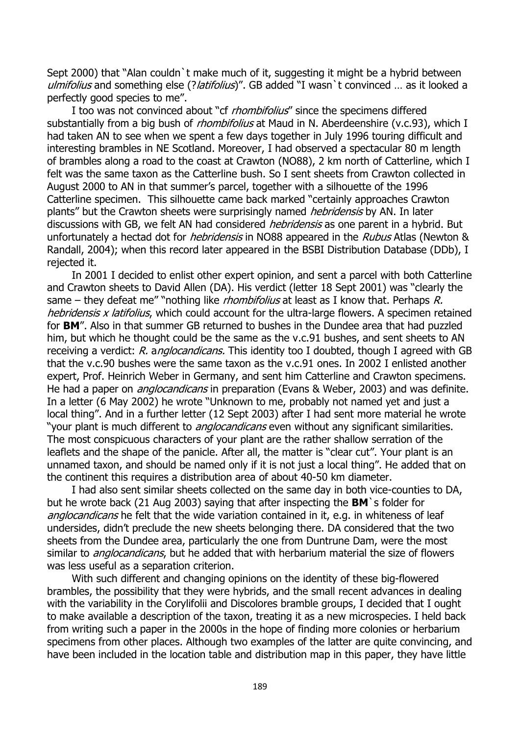Sept 2000) that "Alan couldn`t make much of it, suggesting it might be a hybrid between ulmifolius and something else (?latifolius)". GB added "I wasn`t convinced ... as it looked a perfectly good species to me".

I too was not convinced about "cf *rhombifolius*" since the specimens differed substantially from a big bush of *rhombifolius* at Maud in N. Aberdeenshire (v.c.93), which I had taken AN to see when we spent a few days together in July 1996 touring difficult and interesting brambles in NE Scotland. Moreover, I had observed a spectacular 80 m length of brambles along a road to the coast at Crawton (NO88), 2 km north of Catterline, which I felt was the same taxon as the Catterline bush. So I sent sheets from Crawton collected in August 2000 to AN in that summer's parcel, together with a silhouette of the 1996 Catterline specimen. This silhouette came back marked "certainly approaches Crawton plants" but the Crawton sheets were surprisingly named *hebridensis* by AN. In later discussions with GB, we felt AN had considered *hebridensis* as one parent in a hybrid. But unfortunately a hectad dot for *hebridensis* in NO88 appeared in the *Rubus* Atlas (Newton & Randall, 2004); when this record later appeared in the BSBI Distribution Database (DDb), I rejected it.

In 2001 I decided to enlist other expert opinion, and sent a parcel with both Catterline and Crawton sheets to David Allen (DA). His verdict (letter 18 Sept 2001) was "clearly the same – they defeat me" "nothing like *rhombifolius* at least as I know that. Perhaps R. hebridensis x latifolius, which could account for the ultra-large flowers. A specimen retained for **BM**". Also in that summer GB returned to bushes in the Dundee area that had puzzled him, but which he thought could be the same as the v.c.91 bushes, and sent sheets to AN receiving a verdict: R. anglocandicans. This identity too I doubted, though I agreed with GB that the v.c.90 bushes were the same taxon as the v.c.91 ones. In 2002 I enlisted another expert, Prof. Heinrich Weber in Germany, and sent him Catterline and Crawton specimens. He had a paper on *anglocandicans* in preparation (Evans & Weber, 2003) and was definite. In a letter (6 May 2002) he wrote "Unknown to me, probably not named yet and just a local thing". And in a further letter (12 Sept 2003) after I had sent more material he wrote "your plant is much different to *anglocandicans* even without any significant similarities. The most conspicuous characters of your plant are the rather shallow serration of the leaflets and the shape of the panicle. After all, the matter is "clear cut". Your plant is an unnamed taxon, and should be named only if it is not just a local thing". He added that on the continent this requires a distribution area of about 40-50 km diameter.

I had also sent similar sheets collected on the same day in both vice-counties to DA, but he wrote back (21 Aug 2003) saying that after inspecting the **BM**`s folder for anglocandicans he felt that the wide variation contained in it, e.g. in whiteness of leaf undersides, didn't preclude the new sheets belonging there. DA considered that the two sheets from the Dundee area, particularly the one from Duntrune Dam, were the most similar to *anglocandicans*, but he added that with herbarium material the size of flowers was less useful as a separation criterion.

With such different and changing opinions on the identity of these big-flowered brambles, the possibility that they were hybrids, and the small recent advances in dealing with the variability in the Corylifolii and Discolores bramble groups, I decided that I ought to make available a description of the taxon, treating it as a new microspecies. I held back from writing such a paper in the 2000s in the hope of finding more colonies or herbarium specimens from other places. Although two examples of the latter are quite convincing, and have been included in the location table and distribution map in this paper, they have little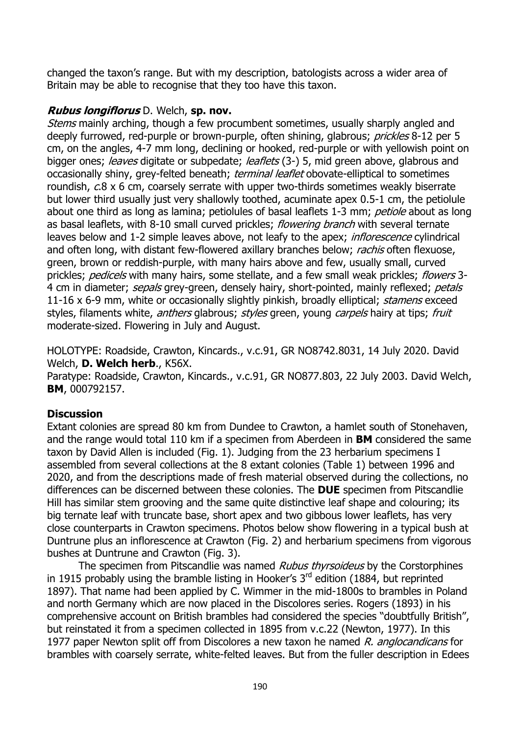changed the taxon's range. But with my description, batologists across a wider area of Britain may be able to recognise that they too have this taxon.

### **Rubus longiflorus** D. Welch, **sp. nov.**

Stems mainly arching, though a few procumbent sometimes, usually sharply angled and deeply furrowed, red-purple or brown-purple, often shining, glabrous; prickles 8-12 per 5 cm, on the angles, 4-7 mm long, declining or hooked, red-purple or with yellowish point on bigger ones; *leaves* digitate or subpedate; *leaflets* (3-) 5, mid green above, glabrous and occasionally shiny, grey-felted beneath; *terminal leaflet* obovate-elliptical to sometimes roundish, c.8 x 6 cm, coarsely serrate with upper two-thirds sometimes weakly biserrate but lower third usually just very shallowly toothed, acuminate apex 0.5-1 cm, the petiolule about one third as long as lamina; petiolules of basal leaflets 1-3 mm; petiole about as long as basal leaflets, with 8-10 small curved prickles; *flowering branch* with several ternate leaves below and 1-2 simple leaves above, not leafy to the apex; *inflorescence* cylindrical and often long, with distant few-flowered axillary branches below; rachis often flexuose, green, brown or reddish-purple, with many hairs above and few, usually small, curved prickles; pedicels with many hairs, some stellate, and a few small weak prickles; flowers 3-4 cm in diameter; sepals grey-green, densely hairy, short-pointed, mainly reflexed; petals 11-16 x 6-9 mm, white or occasionally slightly pinkish, broadly elliptical; *stamens* exceed styles, filaments white, *anthers* glabrous; styles green, young carpels hairy at tips; fruit moderate-sized. Flowering in July and August.

HOLOTYPE: Roadside, Crawton, Kincards., v.c.91, GR NO8742.8031, 14 July 2020. David Welch, **D. Welch herb**., K56X.

Paratype: Roadside, Crawton, Kincards., v.c.91, GR NO877.803, 22 July 2003. David Welch, **BM**, 000792157.

## **Discussion**

Extant colonies are spread 80 km from Dundee to Crawton, a hamlet south of Stonehaven, and the range would total 110 km if a specimen from Aberdeen in **BM** considered the same taxon by David Allen is included (Fig. 1). Judging from the 23 herbarium specimens I assembled from several collections at the 8 extant colonies (Table 1) between 1996 and 2020, and from the descriptions made of fresh material observed during the collections, no differences can be discerned between these colonies. The **DUE** specimen from Pitscandlie Hill has similar stem grooving and the same quite distinctive leaf shape and colouring; its big ternate leaf with truncate base, short apex and two gibbous lower leaflets, has very close counterparts in Crawton specimens. Photos below show flowering in a typical bush at Duntrune plus an inflorescence at Crawton (Fig. 2) and herbarium specimens from vigorous bushes at Duntrune and Crawton (Fig. 3).

The specimen from Pitscandlie was named Rubus thyrsoideus by the Corstorphines in 1915 probably using the bramble listing in Hooker's  $3<sup>rd</sup>$  edition (1884, but reprinted 1897). That name had been applied by C. Wimmer in the mid-1800s to brambles in Poland and north Germany which are now placed in the Discolores series. Rogers (1893) in his comprehensive account on British brambles had considered the species "doubtfully British", but reinstated it from a specimen collected in 1895 from v.c.22 (Newton, 1977). In this 1977 paper Newton split off from Discolores a new taxon he named R. anglocandicans for brambles with coarsely serrate, white-felted leaves. But from the fuller description in Edees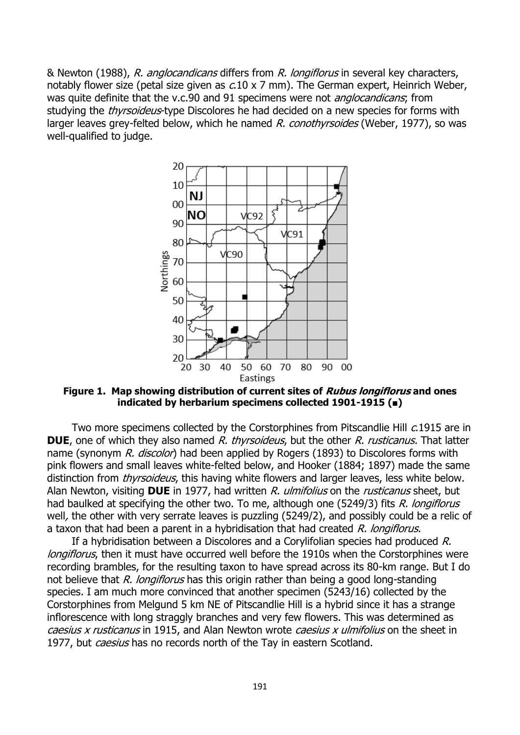& Newton (1988), R. anglocandicans differs from R. longiflorus in several key characters, notably flower size (petal size given as  $c.10 \times 7$  mm). The German expert, Heinrich Weber, was quite definite that the v.c.90 and 91 specimens were not *anglocandicans*; from studying the *thyrsoideus*-type Discolores he had decided on a new species for forms with larger leaves grey-felted below, which he named R. conothyrsoides (Weber, 1977), so was well-qualified to judge.



**Figure 1. Map showing distribution of current sites of Rubus longiflorus and ones indicated by herbarium specimens collected 1901-1915 (■)**

Two more specimens collected by the Corstorphines from Pitscandlie Hill c.1915 are in **DUE**, one of which they also named R, thyrsoideus, but the other R, rusticanus. That latter name (synonym R. discolor) had been applied by Rogers (1893) to Discolores forms with pink flowers and small leaves white-felted below, and Hooker (1884; 1897) made the same distinction from *thyrsoideus*, this having white flowers and larger leaves, less white below. Alan Newton, visiting **DUE** in 1977, had written R. ulmifolius on the rusticanus sheet, but had baulked at specifying the other two. To me, although one (5249/3) fits R. longiflorus well, the other with very serrate leaves is puzzling (5249/2), and possibly could be a relic of a taxon that had been a parent in a hybridisation that had created  $R$ . longiflorus.

If a hybridisation between a Discolores and a Corylifolian species had produced R. longiflorus, then it must have occurred well before the 1910s when the Corstorphines were recording brambles, for the resulting taxon to have spread across its 80-km range. But I do not believe that R. longiflorus has this origin rather than being a good long-standing species. I am much more convinced that another specimen (5243/16) collected by the Corstorphines from Melgund 5 km NE of Pitscandlie Hill is a hybrid since it has a strange inflorescence with long straggly branches and very few flowers. This was determined as caesius x rusticanus in 1915, and Alan Newton wrote caesius x ulmifolius on the sheet in 1977, but *caesius* has no records north of the Tay in eastern Scotland.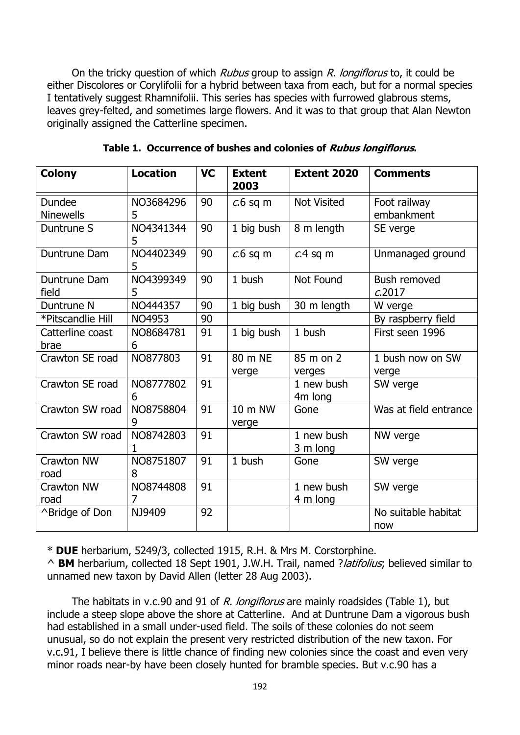On the tricky question of which *Rubus* group to assign *R. longiflorus* to, it could be either Discolores or Corylifolii for a hybrid between taxa from each, but for a normal species I tentatively suggest Rhamnifolii. This series has species with furrowed glabrous stems, leaves grey-felted, and sometimes large flowers. And it was to that group that Alan Newton originally assigned the Catterline specimen.

| <b>Colony</b>              | <b>Location</b> | <b>VC</b> | <b>Extent</b><br>2003 | <b>Extent 2020</b>     | <b>Comments</b>            |
|----------------------------|-----------------|-----------|-----------------------|------------------------|----------------------------|
| Dundee<br><b>Ninewells</b> | NO3684296<br>5  | 90        | $c.6$ sq m            | <b>Not Visited</b>     | Foot railway<br>embankment |
| Duntrune S                 | NO4341344<br>5  | 90        | 1 big bush            | 8 m length             | SE verge                   |
| Duntrune Dam               | NO4402349<br>5  | 90        | $c.6$ sq m            | $c.4$ sq m             | Unmanaged ground           |
| Duntrune Dam<br>field      | NO4399349<br>5  | 90        | 1 bush                | Not Found              | Bush removed<br>c.2017     |
| Duntrune N                 | NO444357        | 90        | 1 big bush            | 30 m length            | W verge                    |
| *Pitscandlie Hill          | NO4953          | 90        |                       |                        | By raspberry field         |
| Catterline coast<br>brae   | NO8684781<br>6  | 91        | 1 big bush            | 1 bush                 | First seen 1996            |
| Crawton SE road            | NO877803        | 91        | 80 m NE<br>verge      | 85 m on 2<br>verges    | 1 bush now on SW<br>verge  |
| Crawton SE road            | NO8777802<br>6  | 91        |                       | 1 new bush<br>4m long  | SW verge                   |
| Crawton SW road            | NO8758804<br>9  | 91        | 10 m NW<br>verge      | Gone                   | Was at field entrance      |
| Crawton SW road            | NO8742803<br>1  | 91        |                       | 1 new bush<br>3 m long | NW verge                   |
| <b>Crawton NW</b><br>road  | NO8751807<br>8  | 91        | 1 bush                | Gone                   | SW verge                   |
| Crawton NW<br>road         | NO8744808<br>7  | 91        |                       | 1 new bush<br>4 m long | SW verge                   |
| ^Bridge of Don             | NJ9409          | 92        |                       |                        | No suitable habitat<br>now |

**Table 1. Occurrence of bushes and colonies of Rubus longiflorus.**

\* **DUE** herbarium, 5249/3, collected 1915, R.H. & Mrs M. Corstorphine.

^ **BM** herbarium, collected 18 Sept 1901, J.W.H. Trail, named ?latifolius; believed similar to unnamed new taxon by David Allen (letter 28 Aug 2003).

The habitats in v.c.90 and 91 of R. longiflorus are mainly roadsides (Table 1), but include a steep slope above the shore at Catterline. And at Duntrune Dam a vigorous bush had established in a small under-used field. The soils of these colonies do not seem unusual, so do not explain the present very restricted distribution of the new taxon. For v.c.91, I believe there is little chance of finding new colonies since the coast and even very minor roads near-by have been closely hunted for bramble species. But v.c.90 has a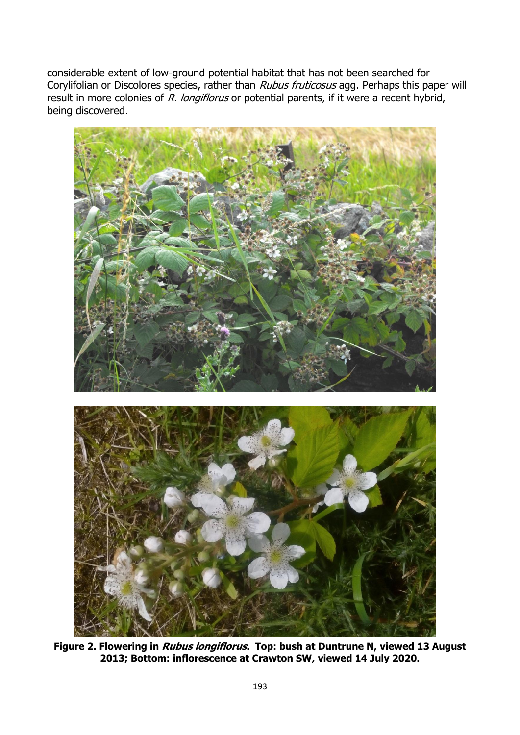considerable extent of low-ground potential habitat that has not been searched for Corylifolian or Discolores species, rather than Rubus fruticosus agg. Perhaps this paper will result in more colonies of R. longiflorus or potential parents, if it were a recent hybrid, being discovered.



**Figure 2. Flowering in Rubus longiflorus. Top: bush at Duntrune N, viewed 13 August 2013; Bottom: inflorescence at Crawton SW, viewed 14 July 2020.**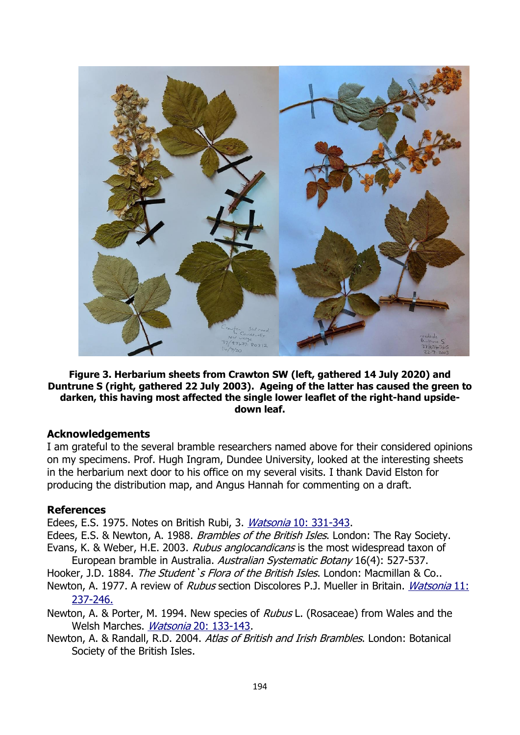

#### **Figure 3. Herbarium sheets from Crawton SW (left, gathered 14 July 2020) and Duntrune S (right, gathered 22 July 2003). Ageing of the latter has caused the green to darken, this having most affected the single lower leaflet of the right-hand upsidedown leaf.**

### **Acknowledgements**

I am grateful to the several bramble researchers named above for their considered opinions on my specimens. Prof. Hugh Ingram, Dundee University, looked at the interesting sheets in the herbarium next door to his office on my several visits. I thank David Elston for producing the distribution map, and Angus Hannah for commenting on a draft.

#### **References**

Edees, E.S. 1975. Notes on British Rubi, 3. Watsonia [10: 331-343.](http://archive.bsbi.org.uk/Wats10p331.pdf)

Edees, E.S. & Newton, A. 1988. Brambles of the British Isles. London: The Ray Society.

Evans, K. & Weber, H.E. 2003. Rubus anglocandicans is the most widespread taxon of European bramble in Australia. Australian Systematic Botany 16(4): 527-537.

Hooker, J.D. 1884. The Student's Flora of the British Isles. London: Macmillan & Co..

Newton, A. 1977. A review of *Rubus* section Discolores P.J. Mueller in Britain. *[Watsonia](http://archive.bsbi.org.uk/Wats11p237.pdf)* 11: [237-246.](http://archive.bsbi.org.uk/Wats11p237.pdf)

Newton, A. & Porter, M. 1994. New species of *Rubus* L. (Rosaceae) from Wales and the Welsh Marches. Watsonia 20: [133-143.](http://archive.bsbi.org.uk/Wats20p133.pdf)

Newton, A. & Randall, R.D. 2004. Atlas of British and Irish Brambles. London: Botanical Society of the British Isles.